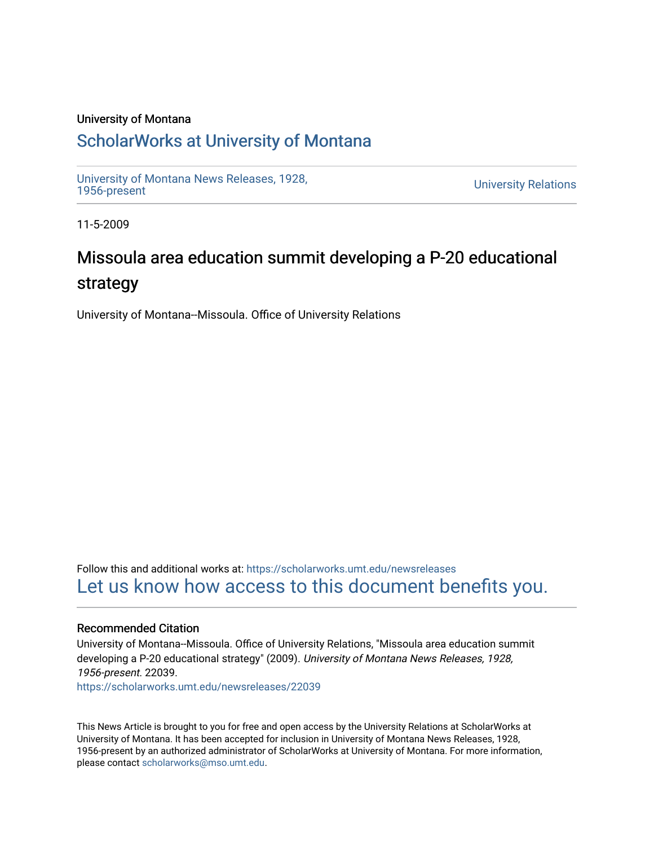### University of Montana

## [ScholarWorks at University of Montana](https://scholarworks.umt.edu/)

[University of Montana News Releases, 1928,](https://scholarworks.umt.edu/newsreleases) 

**University Relations** 

11-5-2009

# Missoula area education summit developing a P-20 educational strategy

University of Montana--Missoula. Office of University Relations

Follow this and additional works at: [https://scholarworks.umt.edu/newsreleases](https://scholarworks.umt.edu/newsreleases?utm_source=scholarworks.umt.edu%2Fnewsreleases%2F22039&utm_medium=PDF&utm_campaign=PDFCoverPages) [Let us know how access to this document benefits you.](https://goo.gl/forms/s2rGfXOLzz71qgsB2) 

#### Recommended Citation

University of Montana--Missoula. Office of University Relations, "Missoula area education summit developing a P-20 educational strategy" (2009). University of Montana News Releases, 1928, 1956-present. 22039.

[https://scholarworks.umt.edu/newsreleases/22039](https://scholarworks.umt.edu/newsreleases/22039?utm_source=scholarworks.umt.edu%2Fnewsreleases%2F22039&utm_medium=PDF&utm_campaign=PDFCoverPages) 

This News Article is brought to you for free and open access by the University Relations at ScholarWorks at University of Montana. It has been accepted for inclusion in University of Montana News Releases, 1928, 1956-present by an authorized administrator of ScholarWorks at University of Montana. For more information, please contact [scholarworks@mso.umt.edu.](mailto:scholarworks@mso.umt.edu)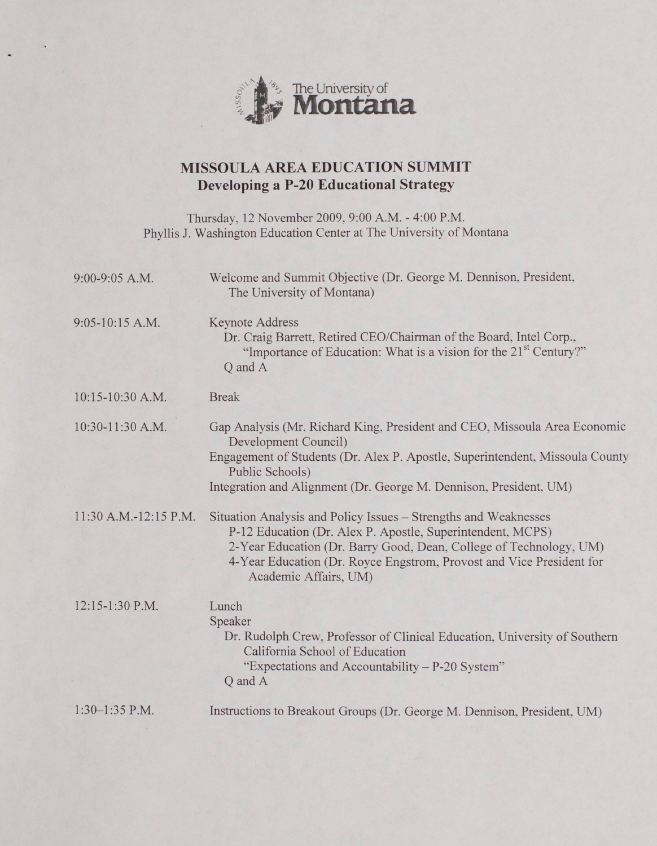

### **MISSOULA AREA EDUCATION SUMMIT Developing a P-20 Educational Strategy**

Thursday, 12 November 2009, 9:00 A.M. - 4:00 P.M. Phyllis J. Washington Education Center at The University of Montana

| 9:00-9:05 A.M.        | Welcome and Summit Objective (Dr. George M. Dennison, President,<br>The University of Montana)                                                                                                                                                                                                       |
|-----------------------|------------------------------------------------------------------------------------------------------------------------------------------------------------------------------------------------------------------------------------------------------------------------------------------------------|
| 9:05-10:15 A.M.       | <b>Keynote Address</b><br>Dr. Craig Barrett, Retired CEO/Chairman of the Board, Intel Corp.,<br>"Importance of Education: What is a vision for the 21 <sup>st</sup> Century?"<br>Q and A                                                                                                             |
| 10:15-10:30 A.M.      | <b>Break</b>                                                                                                                                                                                                                                                                                         |
| 10:30-11:30 A.M.      | Gap Analysis (Mr. Richard King, President and CEO, Missoula Area Economic<br>Development Council)<br>Engagement of Students (Dr. Alex P. Apostle, Superintendent, Missoula County<br>Public Schools)<br>Integration and Alignment (Dr. George M. Dennison, President, UM)                            |
| 11:30 A.M.-12:15 P.M. | Situation Analysis and Policy Issues - Strengths and Weaknesses<br>P-12 Education (Dr. Alex P. Apostle, Superintendent, MCPS)<br>2-Year Education (Dr. Barry Good, Dean, College of Technology, UM)<br>4-Year Education (Dr. Royce Engstrom, Provost and Vice President for<br>Academic Affairs, UM) |
| 12:15-1:30 P.M.       | Lunch<br>Speaker<br>Dr. Rudolph Crew, Professor of Clinical Education, University of Southern<br>California School of Education<br>"Expectations and Accountability - P-20 System"<br>Q and A                                                                                                        |
| $1:30-1:35$ P.M.      | Instructions to Breakout Groups (Dr. George M. Dennison, President, UM)                                                                                                                                                                                                                              |